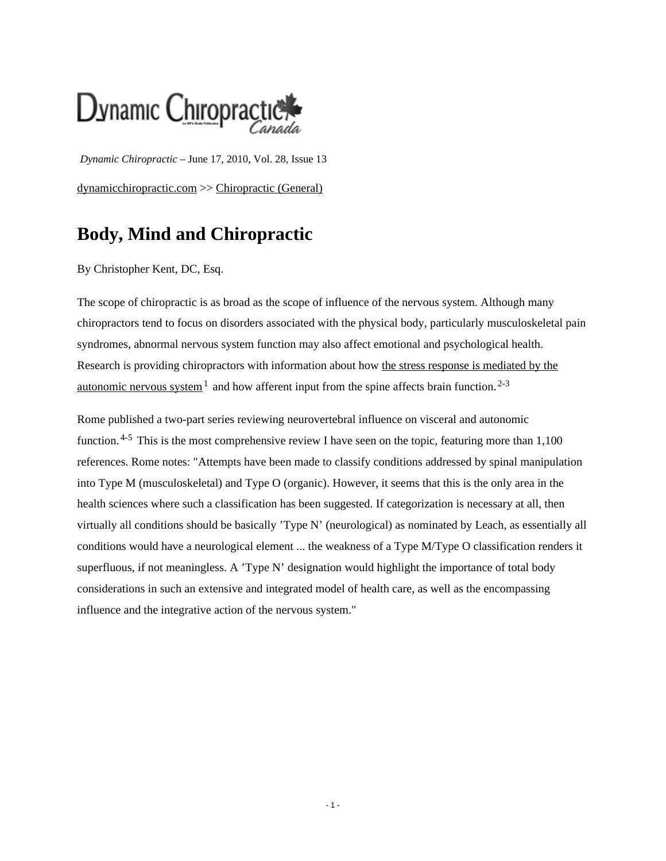

*Dynamic Chiropractic* – June 17, 2010, Vol. 28, Issue 13 [dynamicchiropractic.com](http://www.dynamicchiropractic.com/) >> Chiropractic (General)

## **Body, Mind and Chiropractic**

By Christopher Kent, DC, Esq.

The scope of chiropractic is as broad as the scope of influence of the nervous system. Although many chiropractors tend to focus on disorders associated with the physical body, particularly musculoskeletal pain syndromes, abnormal nervous system function may also affect emotional and psychological health. Research is providing chiropractors with information about how [the stress response is mediated by the](http://www.explorejournal.com/issues/contents?issue_key=S1550-8307%2809%29X0007-8) <u>[autonomic nervous system](http://www.explorejournal.com/issues/contents?issue_key=S1550-8307%2809%29X0007-8)</u><sup>1</sup> and how afferent input from the spine affects brain function.<sup>2-3</sup>

Rome published a two-part series reviewing neurovertebral influence on visceral and autonomic function.<sup>4-5</sup> This is the most comprehensive review I have seen on the topic, featuring more than 1,100 references. Rome notes: "Attempts have been made to classify conditions addressed by spinal manipulation into Type M (musculoskeletal) and Type O (organic). However, it seems that this is the only area in the health sciences where such a classification has been suggested. If categorization is necessary at all, then virtually all conditions should be basically 'Type N' (neurological) as nominated by Leach, as essentially all conditions would have a neurological element ... the weakness of a Type M/Type O classification renders it superfluous, if not meaningless. A 'Type N' designation would highlight the importance of total body considerations in such an extensive and integrated model of health care, as well as the encompassing influence and the integrative action of the nervous system."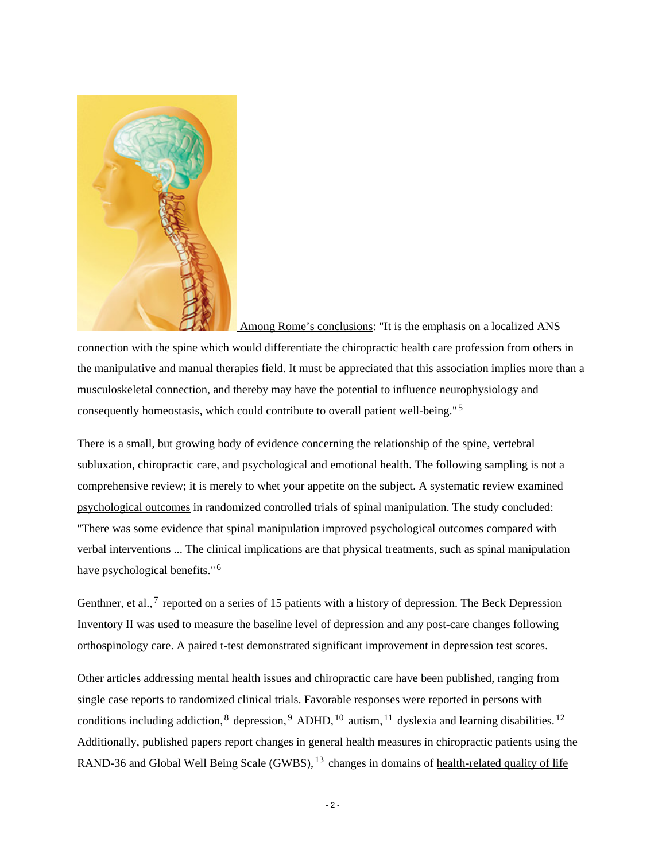

 [Among Rome's conclusions:](http://chiropractors.asn.au/Content/NavigationMenu/Publications/CJA/CurrentIssues2010/Volume40/Vol40Issue1/default.htm#Marker2) "It is the emphasis on a localized ANS

connection with the spine which would differentiate the chiropractic health care profession from others in the manipulative and manual therapies field. It must be appreciated that this association implies more than a musculoskeletal connection, and thereby may have the potential to influence neurophysiology and consequently homeostasis, which could contribute to overall patient well-being." <sup>5</sup>

There is a small, but growing body of evidence concerning the relationship of the spine, vertebral subluxation, chiropractic care, and psychological and emotional health. The following sampling is not a comprehensive review; it is merely to whet your appetite on the subject. [A systematic review examined](http://www.ncbi.nlm.nih.gov/pubmed/18054729) [psychological outcomes](http://www.ncbi.nlm.nih.gov/pubmed/18054729) in randomized controlled trials of spinal manipulation. The study concluded: "There was some evidence that spinal manipulation improved psychological outcomes compared with verbal interventions ... The clinical implications are that physical treatments, such as spinal manipulation have psychological benefits."<sup>6</sup>

[Genthner, et al.,](http://www.jvsr.com/abstracts/index.asp?id=260)  $7$  reported on a series of 15 patients with a history of depression. The Beck Depression Inventory II was used to measure the baseline level of depression and any post-care changes following orthospinology care. A paired t-test demonstrated significant improvement in depression test scores.

Other articles addressing mental health issues and chiropractic care have been published, ranging from single case reports to randomized clinical trials. Favorable responses were reported in persons with conditions including addiction,  ${}^{8}$  depression,  ${}^{9}$  ADHD,  ${}^{10}$  autism,  ${}^{11}$  dyslexia and learning disabilities.  ${}^{12}$ Additionally, published papers report changes in general health measures in chiropractic patients using the RAND-36 and Global Well Being Scale (GWBS), <sup>13</sup> changes in domains of [health-related quality of life](http://www.jvsr.com/abstracts/index.asp?id=299)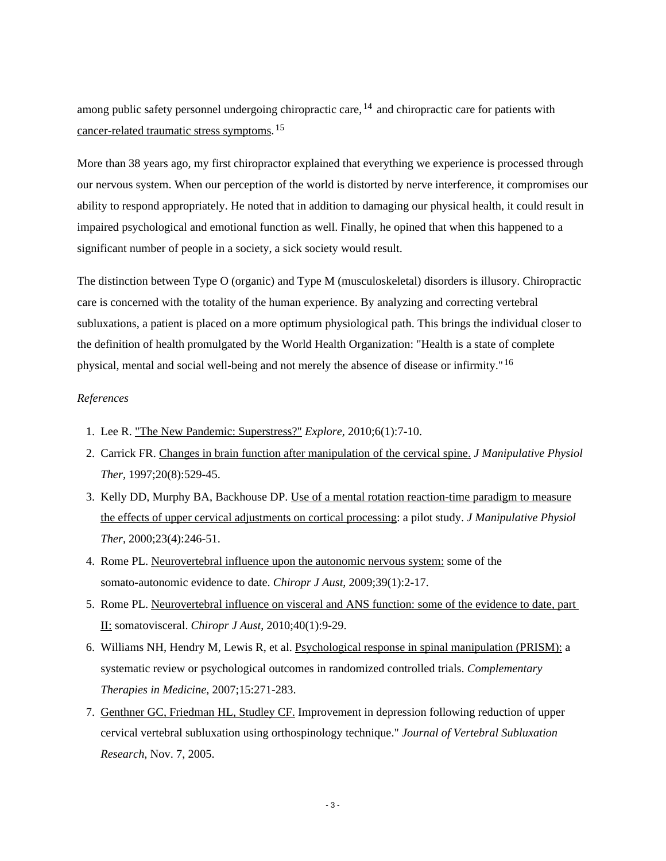among public safety personnel undergoing chiropractic care,  $^{14}$  and chiropractic care for patients with [cancer-related traumatic stress symptoms.](http://www.springerlink.com/content/t4357785663608u0) <sup>15</sup>

More than 38 years ago, my first chiropractor explained that everything we experience is processed through our nervous system. When our perception of the world is distorted by nerve interference, it compromises our ability to respond appropriately. He noted that in addition to damaging our physical health, it could result in impaired psychological and emotional function as well. Finally, he opined that when this happened to a significant number of people in a society, a sick society would result.

The distinction between Type O (organic) and Type M (musculoskeletal) disorders is illusory. Chiropractic care is concerned with the totality of the human experience. By analyzing and correcting vertebral subluxations, a patient is placed on a more optimum physiological path. This brings the individual closer to the definition of health promulgated by the World Health Organization: "Health is a state of complete physical, mental and social well-being and not merely the absence of disease or infirmity." <sup>16</sup>

## *References*

- 1. Lee R. ["The New Pandemic: Superstress?"](http://www.explorejournal.com/issues/contents?issue_key=S1550-8307%2809%29X0007-8) *Explore,* 2010;6(1):7-10.
- 2. Carrick FR. [Changes in brain function after manipulation of the cervical spine.](http://www.ncbi.nlm.nih.gov/pubmed/9345682) *J Manipulative Physiol Ther,* 1997;20(8):529-45.
- 3. Kelly DD, Murphy BA, Backhouse DP. [Use of a mental rotation reaction-time paradigm to measure](http://www.jmptonline.org/article/S0161-4754�00�90171-4/abstract) [the effects of upper cervical adjustments on cortical processing:](http://www.jmptonline.org/article/S0161-4754�00�90171-4/abstract) a pilot study. *J Manipulative Physiol Ther,* 2000;23(4):246-51.
- 4. Rome PL. [Neurovertebral influence upon the autonomic nervous system:](http://chiropractors.asn.au/Content/NavigationMenu/Publications/CJA/CJA_Back_Issues/Volume39/Vol39Issue1/default.htm#marker1) some of the somato-autonomic evidence to date. *Chiropr J Aust*, 2009;39(1):2-17.
- 5. Rome PL. [Neurovertebral influence on visceral and ANS function: some of the evidence to date, part](http://chiropractors.asn.au/Content/NavigationMenu/Publications/CJA/CurrentIssues2010/Volume40/Vol40Issue1/default.htm#Marker2)  [II:](http://chiropractors.asn.au/Content/NavigationMenu/Publications/CJA/CurrentIssues2010/Volume40/Vol40Issue1/default.htm#Marker2) somatovisceral. *Chiropr J Aust*, 2010;40(1):9-29.
- 6. Williams NH, Hendry M, Lewis R, et al. [Psychological response in spinal manipulation \(PRISM\):](http://www.ncbi.nlm.nih.gov/pubmed/18054729) a systematic review or psychological outcomes in randomized controlled trials. *Complementary Therapies in Medicine,* 2007;15:271-283.
- 7. [Genthner GC, Friedman HL, Studley CF.](http://www.jvsr.com/abstracts/index.asp?id=260) Improvement in depression following reduction of upper cervical vertebral subluxation using orthospinology technique." *Journal of Vertebral Subluxation Research,* Nov. 7, 2005.